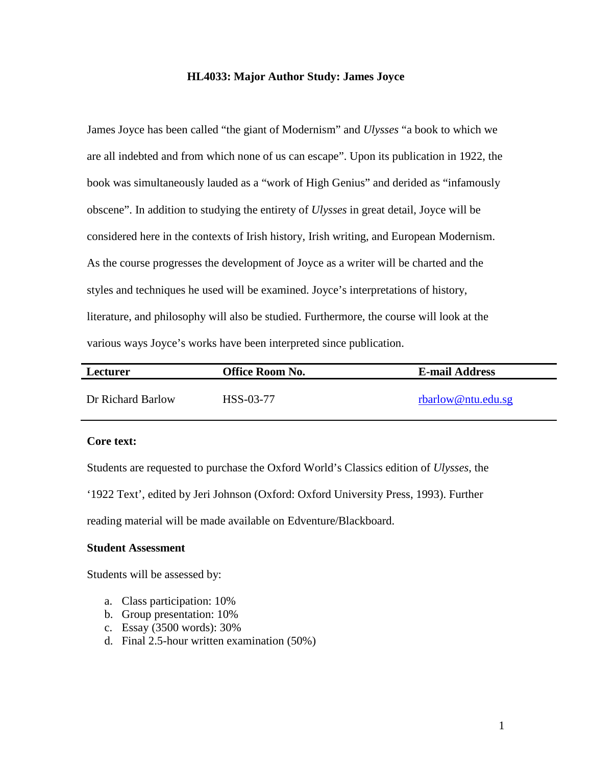#### **HL4033: Major Author Study: James Joyce**

James Joyce has been called "the giant of Modernism" and *Ulysses* "a book to which we are all indebted and from which none of us can escape". Upon its publication in 1922, the book was simultaneously lauded as a "work of High Genius" and derided as "infamously obscene". In addition to studying the entirety of *Ulysses* in great detail, Joyce will be considered here in the contexts of Irish history, Irish writing, and European Modernism. As the course progresses the development of Joyce as a writer will be charted and the styles and techniques he used will be examined. Joyce's interpretations of history, literature, and philosophy will also be studied. Furthermore, the course will look at the various ways Joyce's works have been interpreted since publication.

| Lecturer          | Office Room No. | <b>E-mail Address</b> |
|-------------------|-----------------|-----------------------|
| Dr Richard Barlow | HSS-03-77       | rbarlow@ntu.edu.sg    |

## **Core text:**

Students are requested to purchase the Oxford World's Classics edition of *Ulysses*, the

'1922 Text', edited by Jeri Johnson (Oxford: Oxford University Press, 1993). Further

reading material will be made available on Edventure/Blackboard.

## **Student Assessment**

Students will be assessed by:

- a. Class participation: 10%
- b. Group presentation: 10%
- c. Essay (3500 words): 30%
- d. Final 2.5-hour written examination (50%)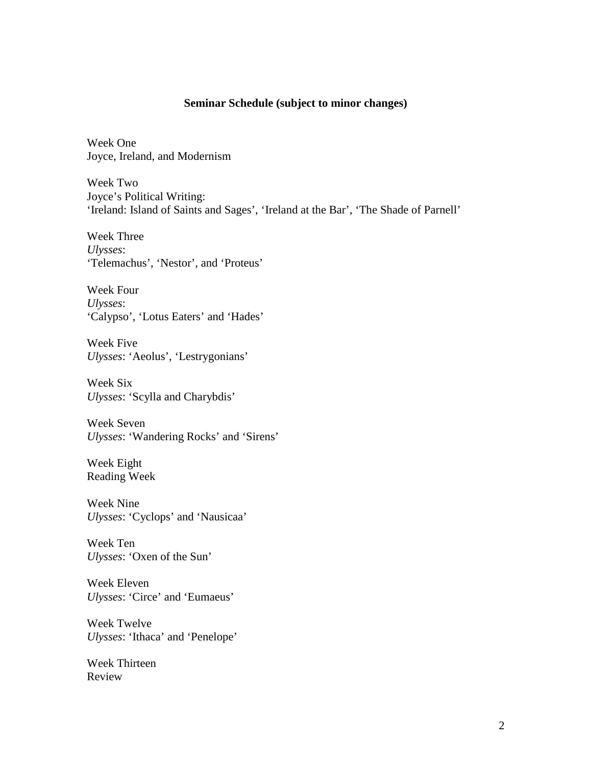# **Seminar Schedule (subject to minor changes)**

Week One Joyce, Ireland, and Modernism

Week Two Joyce's Political Writing: 'Ireland: Island of Saints and Sages', 'Ireland at the Bar', 'The Shade of Parnell'

Week Three *Ulysses*: 'Telemachus', 'Nestor', and 'Proteus'

Week Four *Ulysses*: 'Calypso', 'Lotus Eaters' and 'Hades'

Week Five *Ulysses*: 'Aeolus', 'Lestrygonians'

Week Six *Ulysses*: 'Scylla and Charybdis'

Week Seven *Ulysses*: 'Wandering Rocks' and 'Sirens'

Week Eight Reading Week

Week Nine *Ulysses*: 'Cyclops' and 'Nausicaa'

Week Ten *Ulysses*: 'Oxen of the Sun'

Week Eleven *Ulysses*: 'Circe' and 'Eumaeus'

Week Twelve *Ulysses*: 'Ithaca' and 'Penelope'

Week Thirteen Review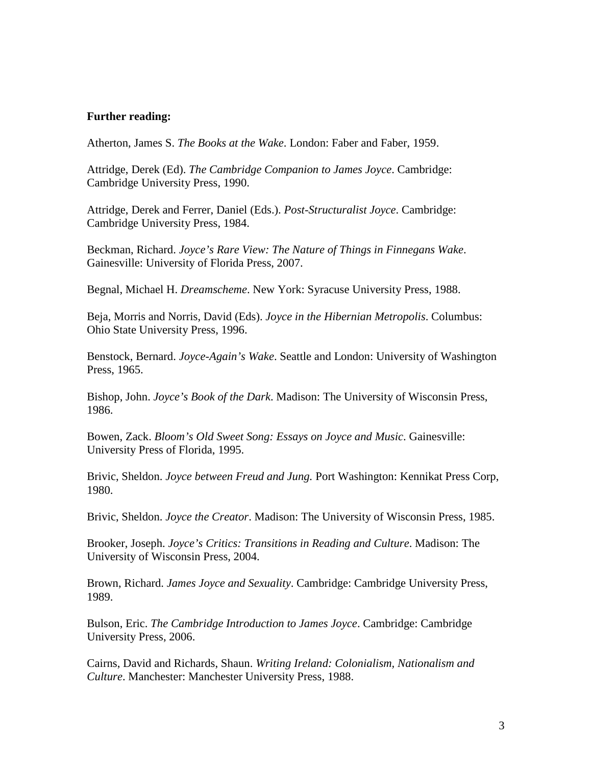## **Further reading:**

Atherton, James S. *The Books at the Wake*. London: Faber and Faber, 1959.

Attridge, Derek (Ed). *The Cambridge Companion to James Joyce*. Cambridge: Cambridge University Press, 1990.

Attridge, Derek and Ferrer, Daniel (Eds.). *Post-Structuralist Joyce*. Cambridge: Cambridge University Press, 1984.

Beckman, Richard. *Joyce's Rare View: The Nature of Things in Finnegans Wake*. Gainesville: University of Florida Press, 2007.

Begnal, Michael H. *Dreamscheme*. New York: Syracuse University Press, 1988.

Beja, Morris and Norris, David (Eds). *Joyce in the Hibernian Metropolis*. Columbus: Ohio State University Press, 1996.

Benstock, Bernard. *Joyce-Again's Wake*. Seattle and London: University of Washington Press, 1965.

Bishop, John. *Joyce's Book of the Dark*. Madison: The University of Wisconsin Press, 1986.

Bowen, Zack. *Bloom's Old Sweet Song: Essays on Joyce and Music*. Gainesville: University Press of Florida, 1995.

Brivic, Sheldon. *Joyce between Freud and Jung.* Port Washington: Kennikat Press Corp, 1980.

Brivic, Sheldon. *Joyce the Creator*. Madison: The University of Wisconsin Press, 1985.

Brooker, Joseph. *Joyce's Critics: Transitions in Reading and Culture*. Madison: The University of Wisconsin Press, 2004.

Brown, Richard. *James Joyce and Sexuality*. Cambridge: Cambridge University Press, 1989.

Bulson, Eric. *The Cambridge Introduction to James Joyce*. Cambridge: Cambridge University Press, 2006.

Cairns, David and Richards, Shaun. *Writing Ireland: Colonialism, Nationalism and Culture*. Manchester: Manchester University Press, 1988.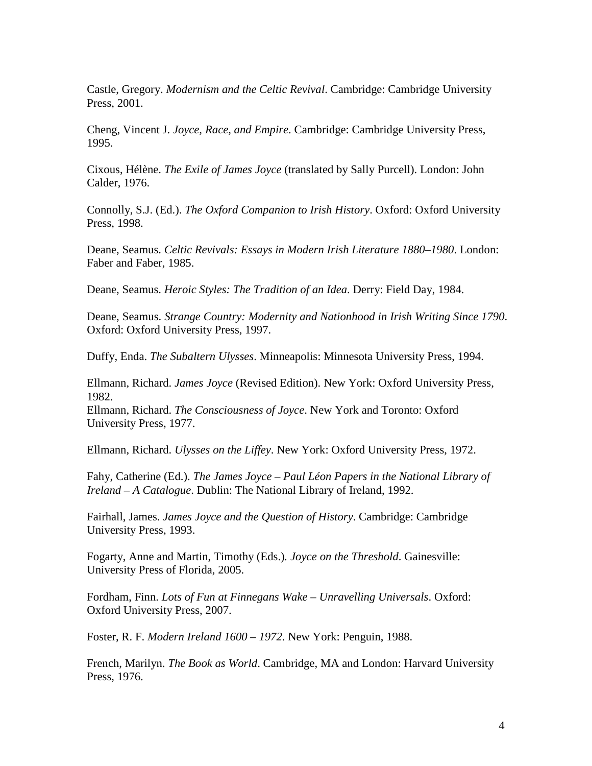Castle, Gregory. *Modernism and the Celtic Revival*. Cambridge: Cambridge University Press, 2001.

Cheng, Vincent J. *Joyce, Race, and Empire*. Cambridge: Cambridge University Press, 1995.

Cixous, Hélène. *The Exile of James Joyce* (translated by Sally Purcell). London: John Calder, 1976.

Connolly, S.J. (Ed.). *The Oxford Companion to Irish History*. Oxford: Oxford University Press, 1998.

Deane, Seamus. *Celtic Revivals: Essays in Modern Irish Literature 1880–1980*. London: Faber and Faber, 1985.

Deane, Seamus. *Heroic Styles: The Tradition of an Idea*. Derry: Field Day, 1984.

Deane, Seamus. *Strange Country: Modernity and Nationhood in Irish Writing Since 1790*. Oxford: Oxford University Press, 1997.

Duffy, Enda. *The Subaltern Ulysses*. Minneapolis: Minnesota University Press, 1994.

Ellmann, Richard. *James Joyce* (Revised Edition). New York: Oxford University Press, 1982. Ellmann, Richard. *The Consciousness of Joyce*. New York and Toronto: Oxford

University Press, 1977.

Ellmann, Richard. *Ulysses on the Liffey*. New York: Oxford University Press, 1972.

Fahy, Catherine (Ed.). *The James Joyce – Paul Léon Papers in the National Library of Ireland – A Catalogue*. Dublin: The National Library of Ireland, 1992.

Fairhall, James. *James Joyce and the Question of History*. Cambridge: Cambridge University Press, 1993.

Fogarty, Anne and Martin, Timothy (Eds.)*. Joyce on the Threshold*. Gainesville: University Press of Florida, 2005.

Fordham, Finn. *Lots of Fun at Finnegans Wake – Unravelling Universals*. Oxford: Oxford University Press, 2007.

Foster, R. F. *Modern Ireland 1600* – *1972*. New York: Penguin, 1988.

French, Marilyn. *The Book as World*. Cambridge, MA and London: Harvard University Press, 1976.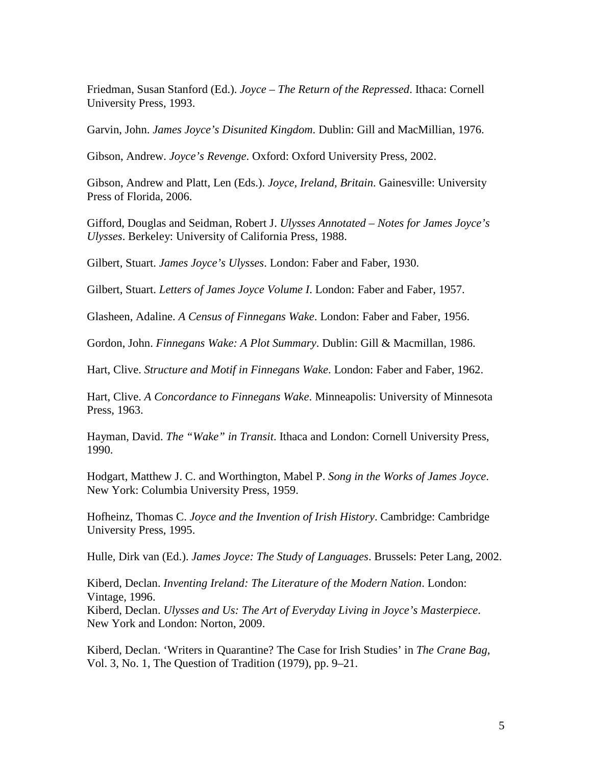Friedman, Susan Stanford (Ed.). *Joyce – The Return of the Repressed*. Ithaca: Cornell University Press, 1993.

Garvin, John. *James Joyce's Disunited Kingdom*. Dublin: Gill and MacMillian, 1976.

Gibson, Andrew. *Joyce's Revenge*. Oxford: Oxford University Press, 2002.

Gibson, Andrew and Platt, Len (Eds.). *Joyce, Ireland, Britain*. Gainesville: University Press of Florida, 2006.

Gifford, Douglas and Seidman, Robert J. *Ulysses Annotated – Notes for James Joyce's Ulysses*. Berkeley: University of California Press, 1988.

Gilbert, Stuart. *James Joyce's Ulysses*. London: Faber and Faber, 1930.

Gilbert, Stuart. *Letters of James Joyce Volume I*. London: Faber and Faber, 1957.

Glasheen, Adaline. *A Census of Finnegans Wake*. London: Faber and Faber, 1956.

Gordon, John. *Finnegans Wake: A Plot Summary*. Dublin: Gill & Macmillan, 1986.

Hart, Clive. *Structure and Motif in Finnegans Wake*. London: Faber and Faber, 1962.

Hart, Clive. *A Concordance to Finnegans Wake*. Minneapolis: University of Minnesota Press, 1963.

Hayman, David. *The "Wake" in Transit*. Ithaca and London: Cornell University Press, 1990.

Hodgart, Matthew J. C. and Worthington, Mabel P. *Song in the Works of James Joyce*. New York: Columbia University Press, 1959.

Hofheinz, Thomas C. *Joyce and the Invention of Irish History*. Cambridge: Cambridge University Press, 1995.

Hulle, Dirk van (Ed.). *James Joyce: The Study of Languages*. Brussels: Peter Lang, 2002.

Kiberd, Declan. *Inventing Ireland: The Literature of the Modern Nation*. London: Vintage, 1996. Kiberd, Declan. *Ulysses and Us: The Art of Everyday Living in Joyce's Masterpiece*. New York and London: Norton, 2009.

Kiberd, Declan. 'Writers in Quarantine? The Case for Irish Studies' in *The Crane Bag,*  Vol. 3, No. 1, The Question of Tradition (1979), pp. 9–21.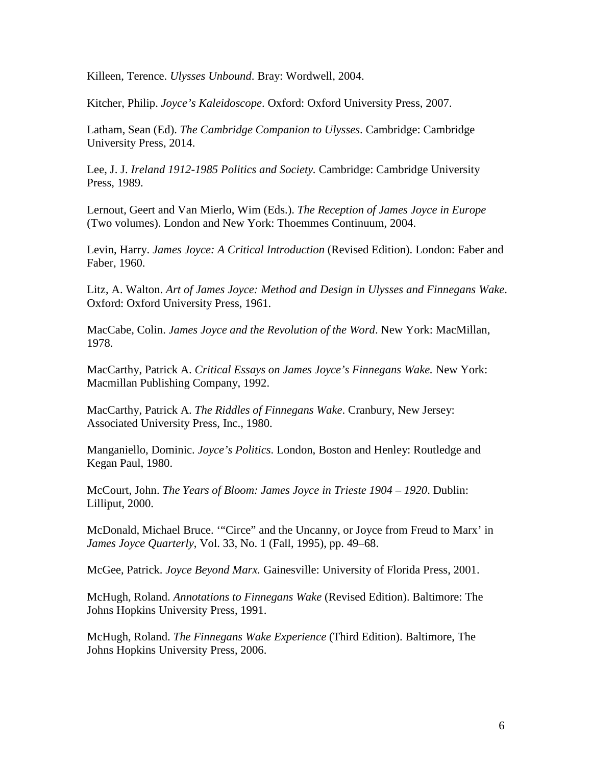Killeen, Terence. *Ulysses Unbound*. Bray: Wordwell, 2004.

Kitcher, Philip. *Joyce's Kaleidoscope*. Oxford: Oxford University Press, 2007.

Latham, Sean (Ed). *The Cambridge Companion to Ulysses*. Cambridge: Cambridge University Press, 2014.

Lee, J. J. *Ireland 1912-1985 Politics and Society.* Cambridge: Cambridge University Press, 1989.

Lernout, Geert and Van Mierlo, Wim (Eds.). *The Reception of James Joyce in Europe* (Two volumes). London and New York: Thoemmes Continuum, 2004.

Levin, Harry. *James Joyce: A Critical Introduction* (Revised Edition). London: Faber and Faber, 1960.

Litz, A. Walton. *Art of James Joyce: Method and Design in Ulysses and Finnegans Wake*. Oxford: Oxford University Press, 1961.

MacCabe, Colin. *James Joyce and the Revolution of the Word*. New York: MacMillan, 1978.

MacCarthy, Patrick A. *Critical Essays on James Joyce's Finnegans Wake.* New York: Macmillan Publishing Company, 1992.

MacCarthy, Patrick A. *The Riddles of Finnegans Wake*. Cranbury, New Jersey: Associated University Press, Inc., 1980.

Manganiello, Dominic. *Joyce's Politics*. London, Boston and Henley: Routledge and Kegan Paul, 1980.

McCourt, John. *The Years of Bloom: James Joyce in Trieste 1904 – 1920*. Dublin: Lilliput, 2000.

McDonald, Michael Bruce. '"Circe" and the Uncanny, or Joyce from Freud to Marx' in *James Joyce Quarterly*, Vol. 33, No. 1 (Fall, 1995), pp. 49–68.

McGee, Patrick. *Joyce Beyond Marx.* Gainesville: University of Florida Press, 2001.

McHugh, Roland. *Annotations to Finnegans Wake* (Revised Edition). Baltimore: The Johns Hopkins University Press, 1991.

McHugh, Roland. *The Finnegans Wake Experience* (Third Edition). Baltimore, The Johns Hopkins University Press, 2006.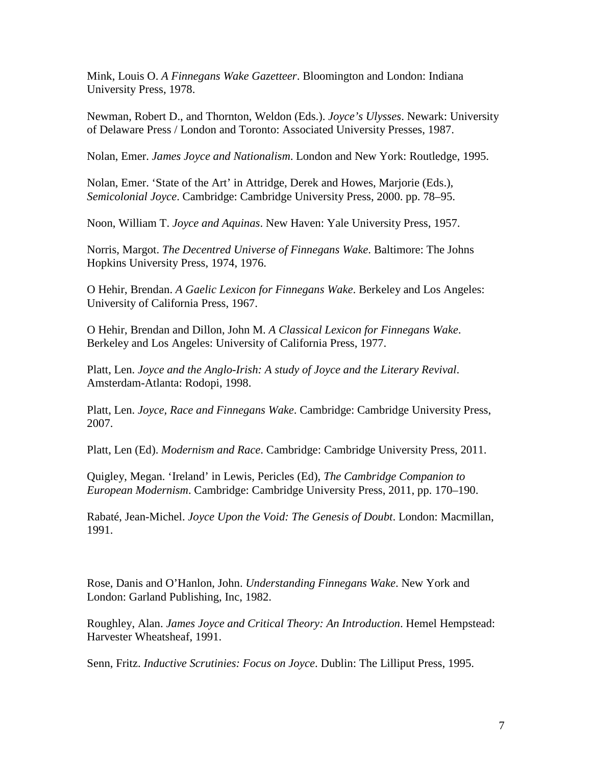Mink, Louis O. *A Finnegans Wake Gazetteer*. Bloomington and London: Indiana University Press, 1978.

Newman, Robert D., and Thornton, Weldon (Eds.). *Joyce's Ulysses*. Newark: University of Delaware Press / London and Toronto: Associated University Presses, 1987.

Nolan, Emer. *James Joyce and Nationalism*. London and New York: Routledge, 1995.

Nolan, Emer. 'State of the Art' in Attridge, Derek and Howes, Marjorie (Eds.), *Semicolonial Joyce*. Cambridge: Cambridge University Press, 2000. pp. 78–95.

Noon, William T. *Joyce and Aquinas*. New Haven: Yale University Press, 1957.

Norris, Margot. *The Decentred Universe of Finnegans Wake*. Baltimore: The Johns Hopkins University Press, 1974, 1976.

O Hehir, Brendan. *A Gaelic Lexicon for Finnegans Wake*. Berkeley and Los Angeles: University of California Press, 1967.

O Hehir, Brendan and Dillon, John M. *A Classical Lexicon for Finnegans Wake*. Berkeley and Los Angeles: University of California Press, 1977.

Platt, Len. *Joyce and the Anglo-Irish: A study of Joyce and the Literary Revival*. Amsterdam-Atlanta: Rodopi, 1998.

Platt, Len. *Joyce, Race and Finnegans Wake*. Cambridge: Cambridge University Press, 2007.

Platt, Len (Ed). *Modernism and Race*. Cambridge: Cambridge University Press, 2011.

Quigley, Megan. 'Ireland' in Lewis, Pericles (Ed), *The Cambridge Companion to European Modernism*. Cambridge: Cambridge University Press, 2011, pp. 170–190.

Rabaté, Jean-Michel. *Joyce Upon the Void: The Genesis of Doubt*. London: Macmillan, 1991.

Rose, Danis and O'Hanlon, John. *Understanding Finnegans Wake*. New York and London: Garland Publishing, Inc, 1982.

Roughley, Alan. *James Joyce and Critical Theory: An Introduction*. Hemel Hempstead: Harvester Wheatsheaf, 1991.

Senn, Fritz. *Inductive Scrutinies: Focus on Joyce*. Dublin: The Lilliput Press, 1995.